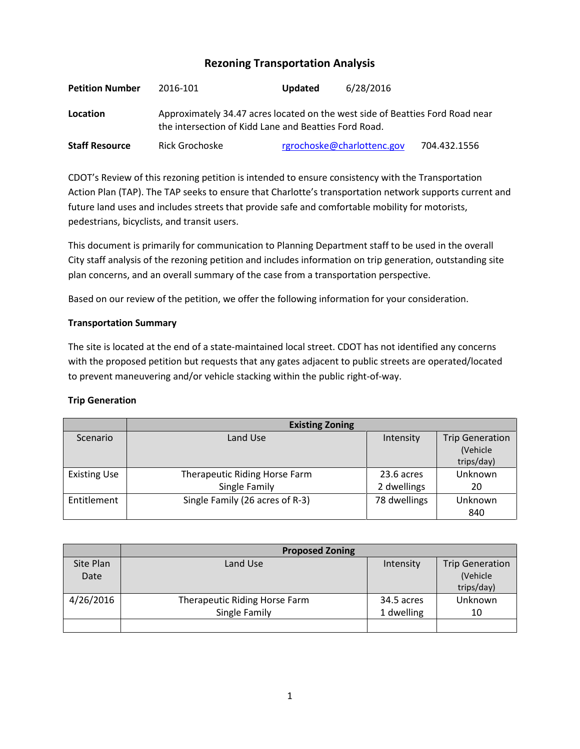# **Rezoning Transportation Analysis**

| <b>Petition Number</b> | 2016-101                                                                                                                               | <b>Updated</b> | 6/28/2016                  |              |  |  |
|------------------------|----------------------------------------------------------------------------------------------------------------------------------------|----------------|----------------------------|--------------|--|--|
| Location               | Approximately 34.47 acres located on the west side of Beatties Ford Road near<br>the intersection of Kidd Lane and Beatties Ford Road. |                |                            |              |  |  |
| <b>Staff Resource</b>  | Rick Grochoske                                                                                                                         |                | rgrochoske@charlottenc.gov | 704.432.1556 |  |  |

CDOT's Review of this rezoning petition is intended to ensure consistency with the Transportation Action Plan (TAP). The TAP seeks to ensure that Charlotte's transportation network supports current and future land uses and includes streets that provide safe and comfortable mobility for motorists, pedestrians, bicyclists, and transit users.

This document is primarily for communication to Planning Department staff to be used in the overall City staff analysis of the rezoning petition and includes information on trip generation, outstanding site plan concerns, and an overall summary of the case from a transportation perspective.

Based on our review of the petition, we offer the following information for your consideration.

## **Transportation Summary**

The site is located at the end of a state-maintained local street. CDOT has not identified any concerns with the proposed petition but requests that any gates adjacent to public streets are operated/located to prevent maneuvering and/or vehicle stacking within the public right-of-way.

#### **Trip Generation**

|                     | <b>Existing Zoning</b>          |              |                        |  |
|---------------------|---------------------------------|--------------|------------------------|--|
| Scenario            | Land Use                        | Intensity    | <b>Trip Generation</b> |  |
|                     |                                 |              | (Vehicle               |  |
|                     |                                 |              | trips/day)             |  |
| <b>Existing Use</b> | Therapeutic Riding Horse Farm   | 23.6 acres   | Unknown                |  |
|                     | Single Family                   | 2 dwellings  | 20                     |  |
| Entitlement         | Single Family (26 acres of R-3) | 78 dwellings | Unknown                |  |
|                     |                                 |              | 840                    |  |

|           | <b>Proposed Zoning</b>        |            |                        |
|-----------|-------------------------------|------------|------------------------|
| Site Plan | Land Use                      | Intensity  | <b>Trip Generation</b> |
| Date      |                               |            | (Vehicle               |
|           |                               |            | trips/day)             |
| 4/26/2016 | Therapeutic Riding Horse Farm | 34.5 acres | Unknown                |
|           | Single Family                 | 1 dwelling | 10                     |
|           |                               |            |                        |